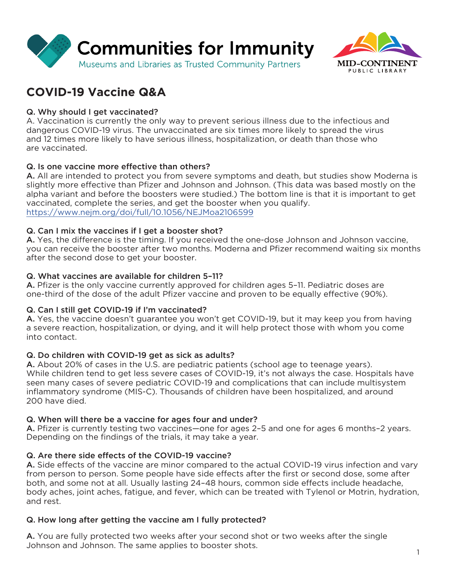



# **COVID-19 Vaccine Q&A**

## Q. Why should I get vaccinated?

A. Vaccination is currently the only way to prevent serious illness due to the infectious and dangerous COVID-19 virus. The unvaccinated are six times more likely to spread the virus and 12 times more likely to have serious illness, hospitalization, or death than those who are vaccinated.

### Q. Is one vaccine more effective than others?

A. All are intended to protect you from severe symptoms and death, but studies show Moderna is slightly more effective than Pfizer and Johnson and Johnson. (This data was based mostly on the alpha variant and before the boosters were studied.) The bottom line is that it is important to get vaccinated, complete the series, and get the booster when you qualify. <https://www.nejm.org/doi/full/10.1056/NEJMoa2106599>

### Q. Can I mix the vaccines if I get a booster shot?

A. Yes, the difference is the timing. If you received the one-dose Johnson and Johnson vaccine, you can receive the booster after two months. Moderna and Pfizer recommend waiting six months after the second dose to get your booster.

### Q. What vaccines are available for children 5–11?

A. Pfizer is the only vaccine currently approved for children ages 5–11. Pediatric doses are one-third of the dose of the adult Pfizer vaccine and proven to be equally effective (90%).

### Q. Can I still get COVID-19 if I'm vaccinated?

A. Yes, the vaccine doesn't guarantee you won't get COVID-19, but it may keep you from having a severe reaction, hospitalization, or dying, and it will help protect those with whom you come into contact.

### Q. Do children with COVID-19 get as sick as adults?

A. About 20% of cases in the U.S. are pediatric patients (school age to teenage years). While children tend to get less severe cases of COVID-19, it's not always the case. Hospitals have seen many cases of severe pediatric COVID-19 and complications that can include multisystem inflammatory syndrome (MIS-C). Thousands of children have been hospitalized, and around 200 have died.

### Q. When will there be a vaccine for ages four and under?

A. Pfizer is currently testing two vaccines—one for ages 2–5 and one for ages 6 months–2 years. Depending on the findings of the trials, it may take a year.

### Q. Are there side effects of the COVID-19 vaccine?

A. Side effects of the vaccine are minor compared to the actual COVID-19 virus infection and vary from person to person. Some people have side effects after the first or second dose, some after both, and some not at all. Usually lasting 24–48 hours, common side effects include headache, body aches, joint aches, fatigue, and fever, which can be treated with Tylenol or Motrin, hydration, and rest.

### Q. How long after getting the vaccine am I fully protected?

A. You are fully protected two weeks after your second shot or two weeks after the single Johnson and Johnson. The same applies to booster shots.